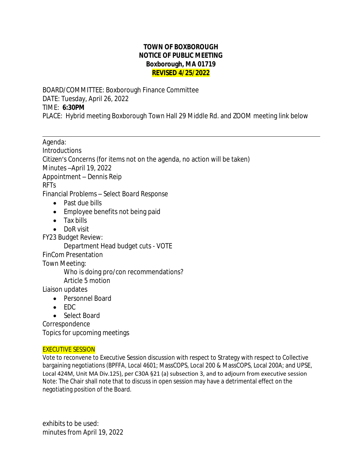## **TOWN OF BOXBOROUGH NOTICE OF PUBLIC MEETING Boxborough, MA 01719 REVISED 4/25/2022**

BOARD/COMMITTEE: Boxborough Finance Committee DATE: Tuesday, April 26, 2022 TIME: **6:30PM** PLACE: Hybrid meeting Boxborough Town Hall 29 Middle Rd. and ZOOM meeting link below

 $\overline{a}$ Agenda: Introductions Citizen's Concerns (for items not on the agenda, no action will be taken) Minutes –April 19, 2022 Appointment – Dennis Reip RFTs Financial Problems – *Select Board Response* • Past due bills

- Employee benefits not being paid
- Tax bills
- DoR visit

FY23 Budget Review:

Department Head budget cuts - VOTE

FinCom Presentation

Town Meeting:

Who is doing pro/con recommendations?

Article 5 motion

Liaison updates

- Personnel Board
- $\bullet$  FDC
- Select Board

Correspondence

Topics for upcoming meetings

## EXECUTIVE SESSION

Vote to reconvene to Executive Session discussion with respect to Strategy with respect to Collective bargaining negotiations (BPFFA, Local 4601; MassCOPS, Local 200 & MassCOPS, Local 200A; and UPSE, Local 424M, Unit MA Div.125), per C30A §21 (a) subsection 3, and to adjourn from executive session Note: The Chair shall note that to discuss in open session may have a detrimental effect on the negotiating position of the Board.

exhibits to be used: minutes from April 19, 2022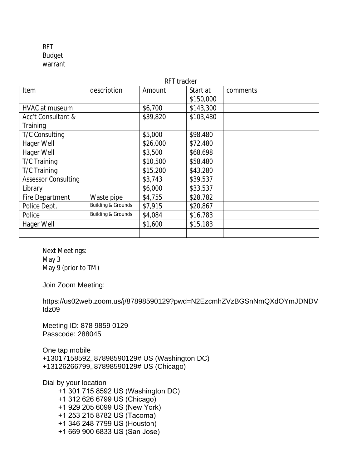RFT Budget warrant

| RFT tracker                |                               |          |           |          |
|----------------------------|-------------------------------|----------|-----------|----------|
| Item                       | description                   | Amount   | Start at  | comments |
|                            |                               |          | \$150,000 |          |
| HVAC at museum             |                               | \$6,700  | \$143,300 |          |
| Acc't Consultant &         |                               | \$39,820 | \$103,480 |          |
| Training                   |                               |          |           |          |
| T/C Consulting             |                               | \$5,000  | \$98,480  |          |
| Hager Well                 |                               | \$26,000 | \$72,480  |          |
| Hager Well                 |                               | \$3,500  | \$68,698  |          |
| T/C Training               |                               | \$10,500 | \$58,480  |          |
| T/C Training               |                               | \$15,200 | \$43,280  |          |
| <b>Assessor Consulting</b> |                               | \$3,743  | \$39,537  |          |
| Library                    |                               | \$6,000  | \$33,537  |          |
| Fire Department            | Waste pipe                    | \$4,755  | \$28,782  |          |
| Police Dept,               | <b>Building &amp; Grounds</b> | \$7,915  | \$20,867  |          |
| Police                     | <b>Building &amp; Grounds</b> | \$4,084  | \$16,783  |          |
| Hager Well                 |                               | \$1,600  | \$15,183  |          |
|                            |                               |          |           |          |

Next Meetings: May 3 May 9 (prior to TM)

Join Zoom Meeting:

https://us02web.zoom.us/j/87898590129?pwd=N2EzcmhZVzBGSnNmQXdOYmJDNDV Idz09

Meeting ID: 878 9859 0129 Passcode: 288045

One tap mobile +13017158592,,87898590129# US (Washington DC) +13126266799,,87898590129# US (Chicago)

Dial by your location +1 301 715 8592 US (Washington DC) +1 312 626 6799 US (Chicago) +1 929 205 6099 US (New York) +1 253 215 8782 US (Tacoma) +1 346 248 7799 US (Houston) +1 669 900 6833 US (San Jose)